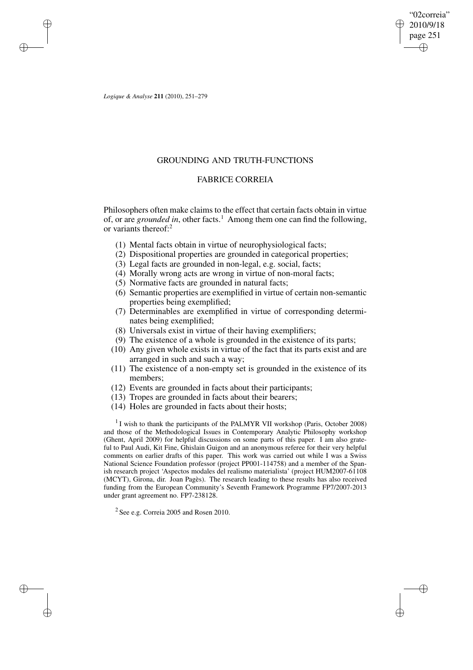"02correia" 2010/9/18 page 251 ✐ ✐

✐

✐

*Logique & Analyse* **211** (2010), 251–279

✐

✐

✐

✐

# GROUNDING AND TRUTH-FUNCTIONS

# FABRICE CORREIA

Philosophers often make claims to the effect that certain facts obtain in virtue of, or are *grounded* in, other facts.<sup>1</sup> Among them one can find the following, or variants thereof:<sup>2</sup>

- (1) Mental facts obtain in virtue of neurophysiological facts;
- (2) Dispositional properties are grounded in categorical properties;
- (3) Legal facts are grounded in non-legal, e.g. social, facts;
- (4) Morally wrong acts are wrong in virtue of non-moral facts;
- (5) Normative facts are grounded in natural facts;
- (6) Semantic properties are exemplified in virtue of certain non-semantic properties being exemplified;
- (7) Determinables are exemplified in virtue of corresponding determinates being exemplified;
- (8) Universals exist in virtue of their having exemplifiers;
- (9) The existence of a whole is grounded in the existence of its parts;
- (10) Any given whole exists in virtue of the fact that its parts exist and are arranged in such and such a way;
- (11) The existence of a non-empty set is grounded in the existence of its members;
- (12) Events are grounded in facts about their participants;
- (13) Tropes are grounded in facts about their bearers;
- (14) Holes are grounded in facts about their hosts;

<sup>1</sup> I wish to thank the participants of the PALMYR VII workshop (Paris, October 2008) and those of the Methodological Issues in Contemporary Analytic Philosophy workshop (Ghent, April 2009) for helpful discussions on some parts of this paper. I am also grateful to Paul Audi, Kit Fine, Ghislain Guigon and an anonymous referee for their very helpful comments on earlier drafts of this paper. This work was carried out while I was a Swiss National Science Foundation professor (project PP001-114758) and a member of the Spanish research project 'Aspectos modales del realismo materialista' (project HUM2007-61108 (MCYT), Girona, dir. Joan Pagès). The research leading to these results has also received funding from the European Community's Seventh Framework Programme FP7/2007-2013 under grant agreement no. FP7-238128.

<sup>2</sup> See e.g. Correia 2005 and Rosen 2010.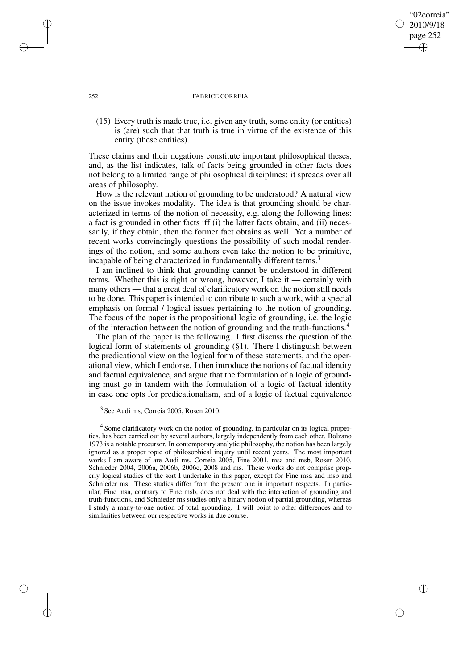## 252 FABRICE CORREIA

"02correia" 2010/9/18 page 252

✐

✐

✐

✐

(15) Every truth is made true, i.e. given any truth, some entity (or entities) is (are) such that that truth is true in virtue of the existence of this entity (these entities).

These claims and their negations constitute important philosophical theses, and, as the list indicates, talk of facts being grounded in other facts does not belong to a limited range of philosophical disciplines: it spreads over all areas of philosophy.

How is the relevant notion of grounding to be understood? A natural view on the issue invokes modality. The idea is that grounding should be characterized in terms of the notion of necessity, e.g. along the following lines: a fact is grounded in other facts iff (i) the latter facts obtain, and (ii) necessarily, if they obtain, then the former fact obtains as well. Yet a number of recent works convincingly questions the possibility of such modal renderings of the notion, and some authors even take the notion to be primitive, incapable of being characterized in fundamentally different terms.<sup>3</sup>

I am inclined to think that grounding cannot be understood in different terms. Whether this is right or wrong, however, I take it — certainly with many others — that a great deal of clarificatory work on the notion still needs to be done. This paper is intended to contribute to such a work, with a special emphasis on formal / logical issues pertaining to the notion of grounding. The focus of the paper is the propositional logic of grounding, i.e. the logic of the interaction between the notion of grounding and the truth-functions.<sup>4</sup>

The plan of the paper is the following. I first discuss the question of the logical form of statements of grounding (§1). There I distinguish between the predicational view on the logical form of these statements, and the operational view, which I endorse. I then introduce the notions of factual identity and factual equivalence, and argue that the formulation of a logic of grounding must go in tandem with the formulation of a logic of factual identity in case one opts for predicationalism, and of a logic of factual equivalence

<sup>4</sup> Some clarificatory work on the notion of grounding, in particular on its logical properties, has been carried out by several authors, largely independently from each other. Bolzano 1973 is a notable precursor. In contemporary analytic philosophy, the notion has been largely ignored as a proper topic of philosophical inquiry until recent years. The most important works I am aware of are Audi ms, Correia 2005, Fine 2001, msa and msb, Rosen 2010, Schnieder 2004, 2006a, 2006b, 2006c, 2008 and ms. These works do not comprise properly logical studies of the sort I undertake in this paper, except for Fine msa and msb and Schnieder ms. These studies differ from the present one in important respects. In particular, Fine msa, contrary to Fine msb, does not deal with the interaction of grounding and truth-functions, and Schnieder ms studies only a binary notion of partial grounding, whereas I study a many-to-one notion of total grounding. I will point to other differences and to similarities between our respective works in due course.

✐

✐

✐

<sup>3</sup> See Audi ms, Correia 2005, Rosen 2010.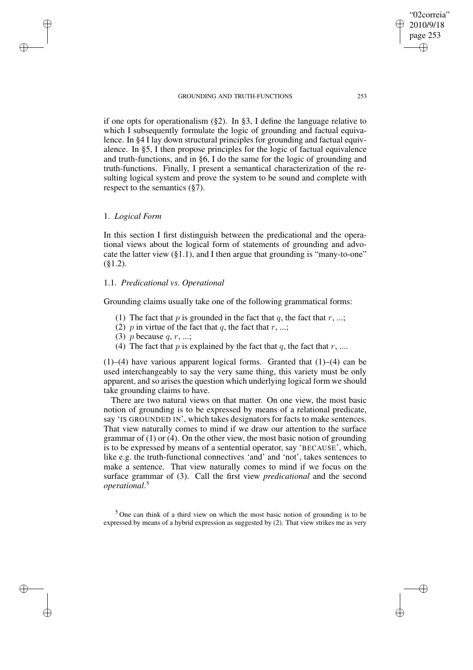if one opts for operationalism (§2). In §3, I define the language relative to which I subsequently formulate the logic of grounding and factual equivalence. In §4 I lay down structural principles for grounding and factual equivalence. In §5, I then propose principles for the logic of factual equivalence and truth-functions, and in §6, I do the same for the logic of grounding and truth-functions. Finally, I present a semantical characterization of the resulting logical system and prove the system to be sound and complete with respect to the semantics (§7).

## 1. *Logical Form*

✐

✐

✐

✐

In this section I first distinguish between the predicational and the operational views about the logical form of statements of grounding and advocate the latter view (§1.1), and I then argue that grounding is "many-to-one"  $(\$1.2).$ 

# 1.1. *Predicational vs. Operational*

Grounding claims usually take one of the following grammatical forms:

- (1) The fact that p is grounded in the fact that q, the fact that  $r$ , ...;
- (2) p in virtue of the fact that q, the fact that  $r, \ldots;$
- (3) p because  $q, r, \ldots;$
- (4) The fact that p is explained by the fact that q, the fact that r, ....

 $(1)$ – $(4)$  have various apparent logical forms. Granted that  $(1)$ – $(4)$  can be used interchangeably to say the very same thing, this variety must be only apparent, and so arises the question which underlying logical form we should take grounding claims to have.

There are two natural views on that matter. On one view, the most basic notion of grounding is to be expressed by means of a relational predicate, say 'IS GROUNDED IN', which takes designators for facts to make sentences. That view naturally comes to mind if we draw our attention to the surface grammar of (1) or (4). On the other view, the most basic notion of grounding is to be expressed by means of a sentential operator, say 'BECAUSE', which, like e.g. the truth-functional connectives 'and' and 'not', takes sentences to make a sentence. That view naturally comes to mind if we focus on the surface grammar of (3). Call the first view *predicational* and the second *operational*. 5

<sup>5</sup> One can think of a third view on which the most basic notion of grounding is to be expressed by means of a hybrid expression as suggested by (2). That view strikes me as very

"02correia" 2010/9/18 page 253

✐

✐

✐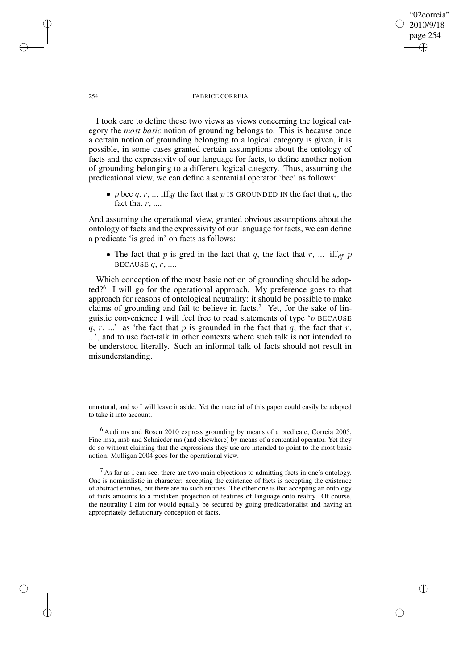## "02correia" 2010/9/18 page 254 ✐ ✐

✐

✐

### 254 FABRICE CORREIA

I took care to define these two views as views concerning the logical category the *most basic* notion of grounding belongs to. This is because once a certain notion of grounding belonging to a logical category is given, it is possible, in some cases granted certain assumptions about the ontology of facts and the expressivity of our language for facts, to define another notion of grounding belonging to a different logical category. Thus, assuming the predicational view, we can define a sentential operator 'bec' as follows:

• p bec q, r, ... if  $f_{df}$  the fact that p IS GROUNDED IN the fact that q, the fact that  $r$ , ....

And assuming the operational view, granted obvious assumptions about the ontology of facts and the expressivity of our language for facts, we can define a predicate 'is gred in' on facts as follows:

• The fact that p is gred in the fact that q, the fact that r, ... if  $f_{df}$  p BECAUSE  $q, r, \ldots$ 

Which conception of the most basic notion of grounding should be adopted?<sup>6</sup> I will go for the operational approach. My preference goes to that approach for reasons of ontological neutrality: it should be possible to make claims of grounding and fail to believe in facts.<sup>7</sup> Yet, for the sake of linguistic convenience I will feel free to read statements of type 'p BECAUSE q, r, ...' as 'the fact that p is grounded in the fact that q, the fact that r, ...', and to use fact-talk in other contexts where such talk is not intended to be understood literally. Such an informal talk of facts should not result in misunderstanding.

unnatural, and so I will leave it aside. Yet the material of this paper could easily be adapted to take it into account.

 $6$  Audi ms and Rosen 2010 express grounding by means of a predicate, Correia 2005, Fine msa, msb and Schnieder ms (and elsewhere) by means of a sentential operator. Yet they do so without claiming that the expressions they use are intended to point to the most basic notion. Mulligan 2004 goes for the operational view.

 $<sup>7</sup>$  As far as I can see, there are two main objections to admitting facts in one's ontology.</sup> One is nominalistic in character: accepting the existence of facts is accepting the existence of abstract entities, but there are no such entities. The other one is that accepting an ontology of facts amounts to a mistaken projection of features of language onto reality. Of course, the neutrality I aim for would equally be secured by going predicationalist and having an appropriately deflationary conception of facts.

✐

✐

✐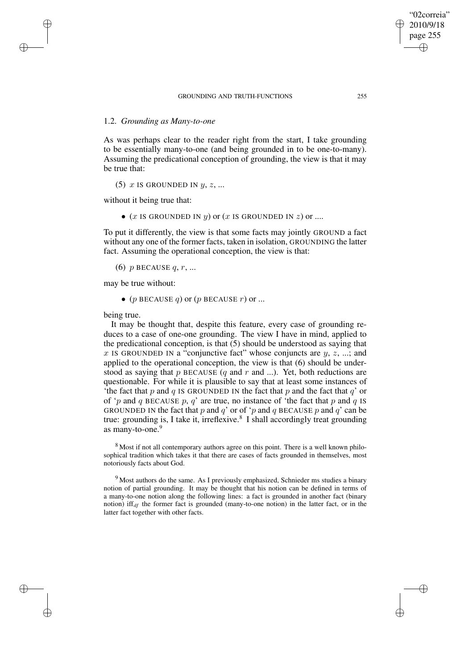# 1.2. *Grounding as Many-to-one*

✐

✐

✐

✐

As was perhaps clear to the reader right from the start, I take grounding to be essentially many-to-one (and being grounded in to be one-to-many). Assuming the predicational conception of grounding, the view is that it may be true that:

(5) x IS GROUNDED IN  $y, z, ...$ 

without it being true that:

• (x IS GROUNDED IN  $y$ ) or (x IS GROUNDED IN  $z$ ) or ....

To put it differently, the view is that some facts may jointly GROUND a fact without any one of the former facts, taken in isolation, GROUNDING the latter fact. Assuming the operational conception, the view is that:

(6) p BECAUSE  $q, r, ...$ 

may be true without:

• ( $p$  BECAUSE  $q$ ) or ( $p$  BECAUSE  $r$ ) or ...

being true.

It may be thought that, despite this feature, every case of grounding reduces to a case of one-one grounding. The view I have in mind, applied to the predicational conception, is that (5) should be understood as saying that x IS GROUNDED IN a "conjunctive fact" whose conjuncts are  $y, z, ...$ ; and applied to the operational conception, the view is that (6) should be understood as saying that p BECAUSE  $(q \text{ and } r \text{ and } ...)$ . Yet, both reductions are questionable. For while it is plausible to say that at least some instances of 'the fact that p and q IS GROUNDED IN the fact that p and the fact that  $q'$  or of 'p and q BECAUSE p, q' are true, no instance of 'the fact that p and q IS GROUNDED IN the fact that p and q' or of 'p and q BECAUSE p and q' can be true: grounding is, I take it, irreflexive.<sup>8</sup> I shall accordingly treat grounding as many-to-one.<sup>9</sup>

<sup>8</sup> Most if not all contemporary authors agree on this point. There is a well known philosophical tradition which takes it that there are cases of facts grounded in themselves, most notoriously facts about God.

<sup>9</sup> Most authors do the same. As I previously emphasized, Schnieder ms studies a binary notion of partial grounding. It may be thought that his notion can be defined in terms of a many-to-one notion along the following lines: a fact is grounded in another fact (binary notion) iff<sub>df</sub> the former fact is grounded (many-to-one notion) in the latter fact, or in the latter fact together with other facts.

"02correia" 2010/9/18 page 255

✐

✐

✐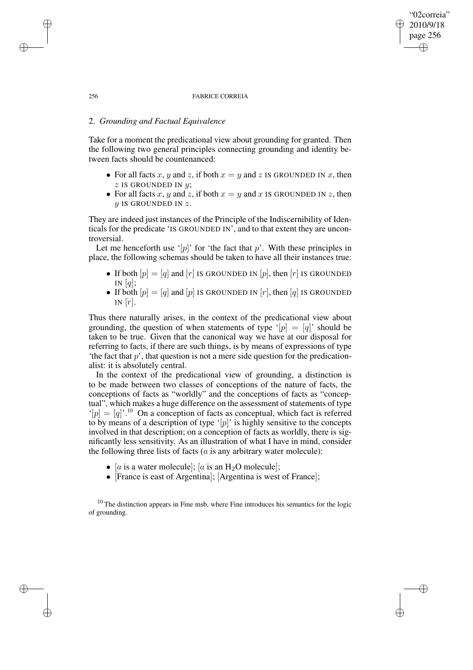### 256 FABRICE CORREIA

# 2. *Grounding and Factual Equivalence*

Take for a moment the predicational view about grounding for granted. Then the following two general principles connecting grounding and identity between facts should be countenanced:

- For all facts x, y and z, if both  $x = y$  and z IS GROUNDED IN x, then  $z$  IS GROUNDED IN  $y$ ;
- For all facts x, y and z, if both  $x = y$  and x IS GROUNDED IN z, then  $y$  IS GROUNDED IN  $z$ .

They are indeed just instances of the Principle of the Indiscernibility of Identicals for the predicate 'IS GROUNDED IN', and to that extent they are uncontroversial.

Let me henceforth use '[p]' for 'the fact that p'. With these principles in place, the following schemas should be taken to have all their instances true:

- If both  $[p] = [q]$  and  $[r]$  IS GROUNDED IN  $[p]$ , then  $[r]$  IS GROUNDED IN  $[q];$
- If both  $[p] = [q]$  and  $[p]$  is GROUNDED IN  $[r]$ , then  $[q]$  is GROUNDED IN  $[r]$ .

Thus there naturally arises, in the context of the predicational view about grounding, the question of when statements of type '[p] = [q]' should be taken to be true. Given that the canonical way we have at our disposal for referring to facts, if there are such things, is by means of expressions of type 'the fact that  $p$ ', that question is not a mere side question for the predicationalist: it is absolutely central.

In the context of the predicational view of grounding, a distinction is to be made between two classes of conceptions of the nature of facts, the conceptions of facts as "worldly" and the conceptions of facts as "conceptual", which makes a huge difference on the assessment of statements of type  $\hat{p}| = [q]^{1/10}$  On a conception of facts as conceptual, which fact is referred to by means of a description of type '[p]' is highly sensitive to the concepts involved in that description; on a conception of facts as worldly, there is significantly less sensitivity. As an illustration of what I have in mind, consider the following three lists of facts  $(a$  is any arbitrary water molecule):

- [a is a water molecule]; [a is an  $H_2O$  molecule];
- [France is east of Argentina]; [Argentina is west of France];

 $10$  The distinction appears in Fine msb, where Fine introduces his semantics for the logic of grounding.

✐

✐

✐

✐

## "02correia" 2010/9/18 page 256 ✐ ✐

✐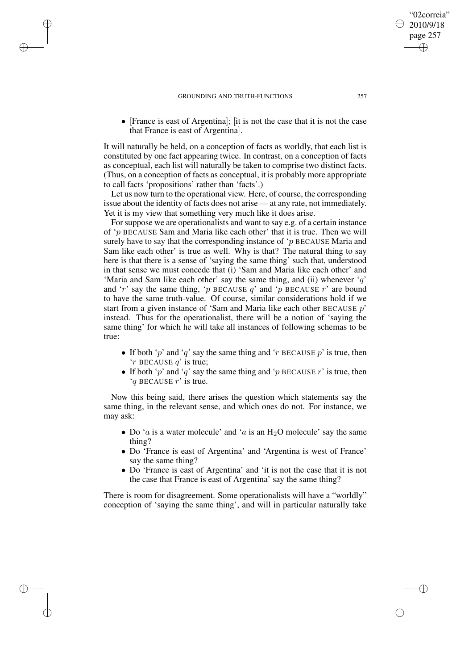✐

✐

✐

✐

• [France is east of Argentina]: [it is not the case that it is not the case that France is east of Argentina].

It will naturally be held, on a conception of facts as worldly, that each list is constituted by one fact appearing twice. In contrast, on a conception of facts as conceptual, each list will naturally be taken to comprise two distinct facts. (Thus, on a conception of facts as conceptual, it is probably more appropriate to call facts 'propositions' rather than 'facts'.)

Let us now turn to the operational view. Here, of course, the corresponding issue about the identity of facts does not arise — at any rate, not immediately. Yet it is my view that something very much like it does arise.

For suppose we are operationalists and want to say e.g. of a certain instance of 'p BECAUSE Sam and Maria like each other' that it is true. Then we will surely have to say that the corresponding instance of  $\gamma$  BECAUSE Maria and Sam like each other' is true as well. Why is that? The natural thing to say here is that there is a sense of 'saying the same thing' such that, understood in that sense we must concede that (i) 'Sam and Maria like each other' and 'Maria and Sam like each other' say the same thing, and (ii) whenever  $q'$ and 'r' say the same thing, 'p BECAUSE q' and 'p BECAUSE  $r$ ' are bound to have the same truth-value. Of course, similar considerations hold if we start from a given instance of 'Sam and Maria like each other BECAUSE  $p$ ' instead. Thus for the operationalist, there will be a notion of 'saying the same thing' for which he will take all instances of following schemas to be true:

- If both 'p' and 'q' say the same thing and 'r BECAUSE p' is true, then  $'r$  BECAUSE  $q'$  is true;
- If both 'p' and 'q' say the same thing and 'p BECAUSE  $r$ ' is true, then  $'q$  BECAUSE  $r'$  is true.

Now this being said, there arises the question which statements say the same thing, in the relevant sense, and which ones do not. For instance, we may ask:

- Do '*a* is a water molecule' and '*a* is an  $H_2O$  molecule' say the same thing?
- Do 'France is east of Argentina' and 'Argentina is west of France' say the same thing?
- Do 'France is east of Argentina' and 'it is not the case that it is not the case that France is east of Argentina' say the same thing?

There is room for disagreement. Some operationalists will have a "worldly" conception of 'saying the same thing', and will in particular naturally take

"02correia" 2010/9/18 page 257

✐

✐

✐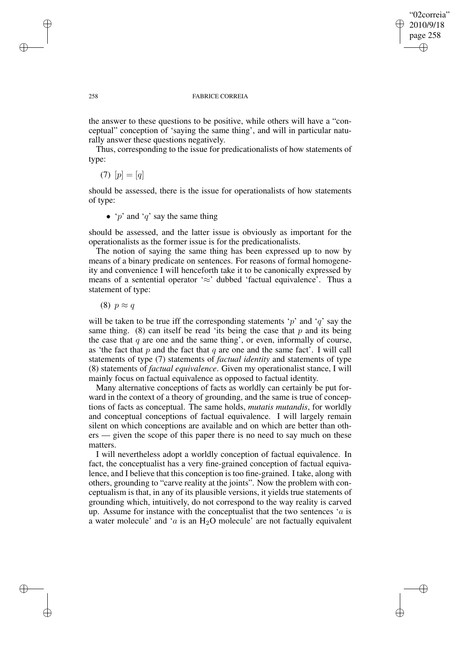✐

## 258 FABRICE CORREIA

the answer to these questions to be positive, while others will have a "conceptual" conception of 'saying the same thing', and will in particular naturally answer these questions negatively.

Thus, corresponding to the issue for predicationalists of how statements of type:

(7)  $[p] = [q]$ 

should be assessed, there is the issue for operationalists of how statements of type:

• 'p' and 'q' say the same thing

should be assessed, and the latter issue is obviously as important for the operationalists as the former issue is for the predicationalists.

The notion of saying the same thing has been expressed up to now by means of a binary predicate on sentences. For reasons of formal homogeneity and convenience I will henceforth take it to be canonically expressed by means of a sentential operator ' $\approx$ ' dubbed 'factual equivalence'. Thus a statement of type:

(8)  $p \approx q$ 

will be taken to be true iff the corresponding statements 'p' and 'q' say the same thing. (8) can itself be read 'its being the case that  $p$  and its being the case that  $q$  are one and the same thing', or even, informally of course, as 'the fact that  $p$  and the fact that  $q$  are one and the same fact'. I will call statements of type (7) statements of *factual identity* and statements of type (8) statements of *factual equivalence*. Given my operationalist stance, I will mainly focus on factual equivalence as opposed to factual identity.

Many alternative conceptions of facts as worldly can certainly be put forward in the context of a theory of grounding, and the same is true of conceptions of facts as conceptual. The same holds, *mutatis mutandis*, for worldly and conceptual conceptions of factual equivalence. I will largely remain silent on which conceptions are available and on which are better than others — given the scope of this paper there is no need to say much on these matters.

I will nevertheless adopt a worldly conception of factual equivalence. In fact, the conceptualist has a very fine-grained conception of factual equivalence, and I believe that this conception is too fine-grained. I take, along with others, grounding to "carve reality at the joints". Now the problem with conceptualism is that, in any of its plausible versions, it yields true statements of grounding which, intuitively, do not correspond to the way reality is carved up. Assume for instance with the conceptualist that the two sentences  $a$  is a water molecule' and ' $a$  is an H<sub>2</sub>O molecule' are not factually equivalent

✐

✐

✐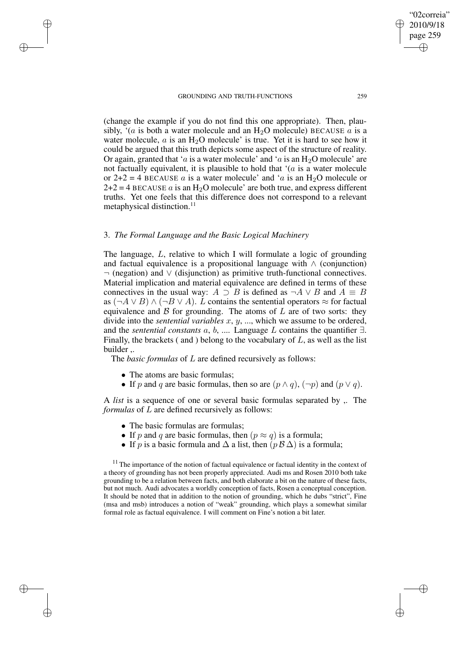✐

✐

(change the example if you do not find this one appropriate). Then, plausibly, '(a is both a water molecule and an  $H_2O$  molecule) BECAUSE a is a water molecule,  $a$  is an  $H_2O$  molecule' is true. Yet it is hard to see how it could be argued that this truth depicts some aspect of the structure of reality. Or again, granted that 'a is a water molecule' and 'a is an  $H_2O$  molecule' are not factually equivalent, it is plausible to hold that  $(a)$  is a water molecule or  $2+2 = 4$  BECAUSE a is a water molecule' and 'a is an H<sub>2</sub>O molecule or  $2+2=4$  BECAUSE a is an H<sub>2</sub>O molecule' are both true, and express different truths. Yet one feels that this difference does not correspond to a relevant metaphysical distinction.<sup>11</sup>

## 3. *The Formal Language and the Basic Logical Machinery*

The language, L, relative to which I will formulate a logic of grounding and factual equivalence is a propositional language with  $\land$  (conjunction) ¬ (negation) and ∨ (disjunction) as primitive truth-functional connectives. Material implication and material equivalence are defined in terms of these connectives in the usual way:  $A \supset B$  is defined as  $\neg A \lor B$  and  $A \equiv B$ as  $(\neg A \lor B) \land (\neg B \lor A)$ . L contains the sentential operators  $\approx$  for factual equivalence and  $\beta$  for grounding. The atoms of  $L$  are of two sorts: they divide into the *sentential variables* x, y, ..., which we assume to be ordered, and the *sentential constants* a, b, .... Language L contains the quantifier ∃. Finally, the brackets (and ) belong to the vocabulary of  $L$ , as well as the list builder ,.

The *basic formulas* of L are defined recursively as follows:

• The atoms are basic formulas;

✐

✐

✐

✐

• If p and q are basic formulas, then so are  $(p \land q)$ ,  $(\neg p)$  and  $(p \lor q)$ .

A *list* is a sequence of one or several basic formulas separated by ,. The *formulas* of L are defined recursively as follows:

- The basic formulas are formulas;
- If p and q are basic formulas, then  $(p \approx q)$  is a formula;
- If p is a basic formula and  $\Delta$  a list, then  $(p \mathcal{B} \Delta)$  is a formula;

 $11$  The importance of the notion of factual equivalence or factual identity in the context of a theory of grounding has not been properly appreciated. Audi ms and Rosen 2010 both take grounding to be a relation between facts, and both elaborate a bit on the nature of these facts, but not much. Audi advocates a worldly conception of facts, Rosen a conceptual conception. It should be noted that in addition to the notion of grounding, which he dubs "strict", Fine (msa and msb) introduces a notion of "weak" grounding, which plays a somewhat similar formal role as factual equivalence. I will comment on Fine's notion a bit later.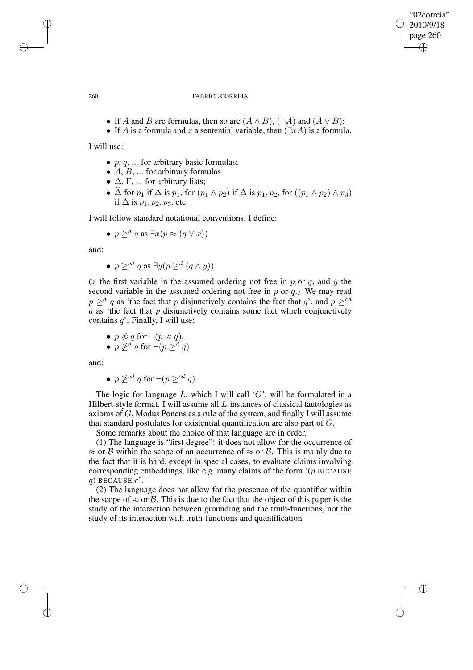"02correia" 2010/9/18 page 260 ✐ ✐

✐

✐

## 260 FABRICE CORREIA

- If A and B are formulas, then so are  $(A \wedge B)$ ,  $(\neg A)$  and  $(A \vee B)$ ;
- If A is a formula and x a sentential variable, then  $(\exists x A)$  is a formula.

I will use:

- $p, q, \ldots$  for arbitrary basic formulas;
- $A, B, \ldots$  for arbitrary formulas
- $\Delta$ ,  $\Gamma$ , ... for arbitrary lists;
- $\widehat{\Delta}$  for  $p_1$  if  $\Delta$  is  $p_1$ , for  $(p_1 \wedge p_2)$  if  $\Delta$  is  $p_1, p_2$ , for  $((p_1 \wedge p_2) \wedge p_3)$ if  $\Delta$  is  $p_1, p_2, p_3$ , etc.

I will follow standard notational conventions. I define:

• 
$$
p \geq^d q
$$
 as  $\exists x (p \approx (q \vee x))$ 

and:

• 
$$
p \geq^{cd} q
$$
 as  $\exists y (p \geq^d (q \wedge y))$ 

(x the first variable in the assumed ordering not free in p or q, and y the second variable in the assumed ordering not free in  $p$  or  $q$ .) We may read  $p \geq^d q$  as 'the fact that p disjunctively contains the fact that q', and  $p \geq^{cd}$  $q$  as 'the fact that  $p$  disjunctively contains some fact which conjunctively contains  $q'$ . Finally, I will use:

$$
p \not\approx q \text{ for } \neg (p \approx q),
$$

• 
$$
p \not\geq^d q
$$
 for  $\neg (p \geq^d q)$ 

and:

• 
$$
p \not\geq^{cd} q
$$
 for  $\neg (p \geq^{cd} q)$ .

The logic for language  $L$ , which I will call 'G', will be formulated in a Hilbert-style format. I will assume all L-instances of classical tautologies as axioms of G, Modus Ponens as a rule of the system, and finally I will assume that standard postulates for existential quantification are also part of G.

Some remarks about the choice of that language are in order.

(1) The language is "first degree": it does not allow for the occurrence of  $\approx$  or B within the scope of an occurrence of  $\approx$  or B. This is mainly due to the fact that it is hard, except in special cases, to evaluate claims involving corresponding embeddings, like e.g. many claims of the form '(p BECAUSE q) BECAUSE  $r'$ .

(2) The language does not allow for the presence of the quantifier within the scope of  $\approx$  or  $\beta$ . This is due to the fact that the object of this paper is the study of the interaction between grounding and the truth-functions, not the study of its interaction with truth-functions and quantification.

✐

✐

✐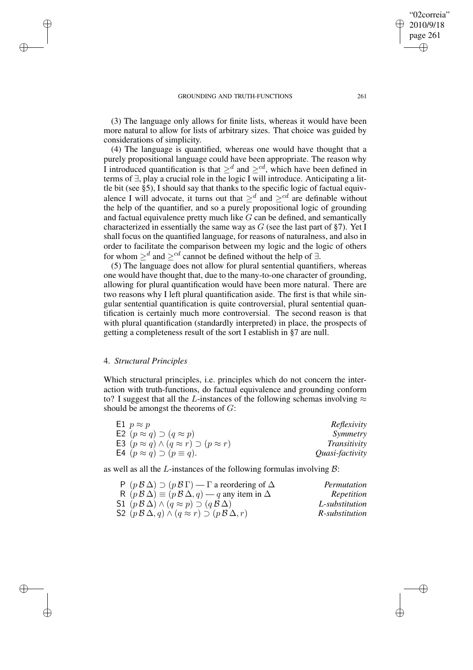✐

✐

"02correia" 2010/9/18

(3) The language only allows for finite lists, whereas it would have been more natural to allow for lists of arbitrary sizes. That choice was guided by considerations of simplicity.

(4) The language is quantified, whereas one would have thought that a purely propositional language could have been appropriate. The reason why I introduced quantification is that  $\geq^d$  and  $\geq^{cd}$ , which have been defined in terms of  $\exists$ , play a crucial role in the logic I will introduce. Anticipating a little bit (see §5), I should say that thanks to the specific logic of factual equivalence I will advocate, it turns out that  $\geq^d$  and  $\geq^{cd}$  are definable without the help of the quantifier, and so a purely propositional logic of grounding and factual equivalence pretty much like  $G$  can be defined, and semantically characterized in essentially the same way as  $G$  (see the last part of §7). Yet I shall focus on the quantified language, for reasons of naturalness, and also in order to facilitate the comparison between my logic and the logic of others for whom  $\geq^d$  and  $\geq^{cd}$  cannot be defined without the help of  $\exists$ .

(5) The language does not allow for plural sentential quantifiers, whereas one would have thought that, due to the many-to-one character of grounding, allowing for plural quantification would have been more natural. There are two reasons why I left plural quantification aside. The first is that while singular sentential quantification is quite controversial, plural sentential quantification is certainly much more controversial. The second reason is that with plural quantification (standardly interpreted) in place, the prospects of getting a completeness result of the sort I establish in §7 are null.

# 4. *Structural Principles*

✐

✐

✐

✐

Which structural principles, i.e. principles which do not concern the interaction with truth-functions, do factual equivalence and grounding conform to? I suggest that all the L-instances of the following schemas involving  $\approx$ should be amongst the theorems of  $G$ :

| E1 $p \approx p$                                              | Reflexivity     |
|---------------------------------------------------------------|-----------------|
| E2 $(p \approx q) \supset (q \approx p)$                      | Symmetry        |
| E3 $(p \approx q) \wedge (q \approx r) \supset (p \approx r)$ | Transitivity    |
| <b>E4</b> $(p \approx q) \supset (p \equiv q)$ .              | Quasi-factivity |

as well as all the L-instances of the following formulas involving  $B$ :

| $P(pB\Delta) \supset (pB\Gamma)$ - $\Gamma$ a reordering of $\Delta$                  | Permutation    |
|---------------------------------------------------------------------------------------|----------------|
| R $(p \mathcal{B} \Delta) \equiv (p \mathcal{B} \Delta, q) - q$ any item in $\Delta$  | Repetition     |
| S1 $(p \mathcal{B} \Delta) \wedge (q \approx p) \supset (q \mathcal{B} \Delta)$       | L-substitution |
| S2 $(p \mathcal{B} \Delta, q) \wedge (q \approx r) \supset (p \mathcal{B} \Delta, r)$ | R-substitution |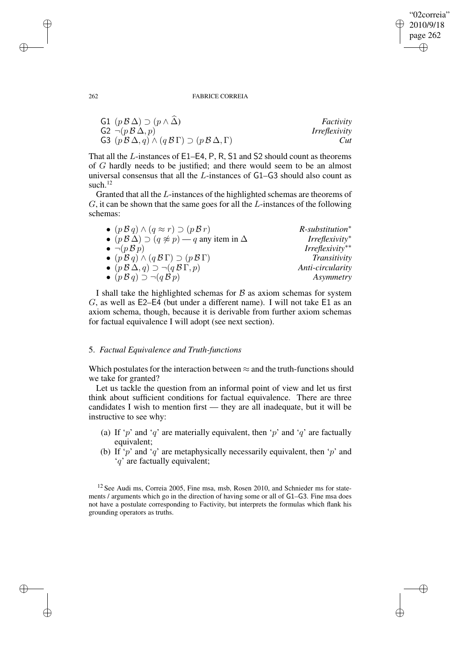"02correia" 2010/9/18 page 262 ✐ ✐

✐

✐

262 FABRICE CORREIA

| G1 $(p \mathcal{B} \Delta) \supset (p \wedge \Delta)$                                               | Factivity            |
|-----------------------------------------------------------------------------------------------------|----------------------|
| $G2 \neg (p \mathcal{B} \Delta, p)$                                                                 | <i>Irreflexivity</i> |
| G3 $(p \mathcal{B} \Delta, q) \wedge (q \mathcal{B} \Gamma) \supset (p \mathcal{B} \Delta, \Gamma)$ | Cut                  |

That all the L-instances of E1–E4, P, R, S1 and S2 should count as theorems of G hardly needs to be justified; and there would seem to be an almost universal consensus that all the L-instances of G1–G3 should also count as such.<sup>12</sup>

Granted that all the L-instances of the highlighted schemas are theorems of G, it can be shown that the same goes for all the L-instances of the following schemas:

| $\bullet$ $(p \mathcal{B} q) \wedge (q \approx r) \supset (p \mathcal{B} r)$               | $R$ -substitution <sup>*</sup> |
|--------------------------------------------------------------------------------------------|--------------------------------|
| • $(p \mathcal{B} \Delta) \supset (q \not\approx p) - q$ any item in $\Delta$              | $Irreflexivity^*$              |
| $\bullet \neg (p \mathcal{B} p)$                                                           | $Irreflexivity**$              |
| $\bullet$ $(p \mathcal{B} q) \wedge (q \mathcal{B} \Gamma) \supset (p \mathcal{B} \Gamma)$ | Transitivity                   |
| $\bullet$ $(p \mathcal{B} \Delta, q) \supset \neg (q \mathcal{B} \Gamma, p)$               | Anti-circularity               |
| $\bullet$ $(p \mathcal{B} q) \supset \neg (q \mathcal{B} p)$                               | Asymmetry                      |

I shall take the highlighted schemas for  $B$  as axiom schemas for system G, as well as E2–E4 (but under a different name). I will not take E1 as an axiom schema, though, because it is derivable from further axiom schemas for factual equivalence I will adopt (see next section).

## 5. *Factual Equivalence and Truth-functions*

Which postulates for the interaction between  $\approx$  and the truth-functions should we take for granted?

Let us tackle the question from an informal point of view and let us first think about sufficient conditions for factual equivalence. There are three candidates I wish to mention first — they are all inadequate, but it will be instructive to see why:

- (a) If 'p' and 'q' are materially equivalent, then 'p' and 'q' are factually equivalent;
- (b) If 'p' and 'q' are metaphysically necessarily equivalent, then 'p' and 'q' are factually equivalent;

<sup>12</sup> See Audi ms, Correia 2005, Fine msa, msb, Rosen 2010, and Schnieder ms for statements / arguments which go in the direction of having some or all of G1–G3. Fine msa does not have a postulate corresponding to Factivity, but interprets the formulas which flank his grounding operators as truths.

✐

✐

✐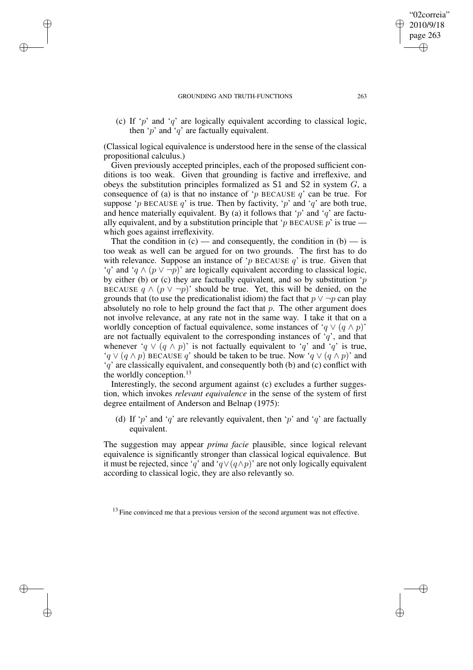✐

✐

✐

✐

(c) If ' $p$ ' and ' $q$ ' are logically equivalent according to classical logic, then 'p' and 'q' are factually equivalent.

(Classical logical equivalence is understood here in the sense of the classical propositional calculus.)

Given previously accepted principles, each of the proposed sufficient conditions is too weak. Given that grounding is factive and irreflexive, and obeys the substitution principles formalized as  $S1$  and  $S2$  in system  $G$ , a consequence of (a) is that no instance of 'p BECAUSE  $q$ ' can be true. For suppose 'p BECAUSE q' is true. Then by factivity, 'p' and 'q' are both true, and hence materially equivalent. By (a) it follows that 'p' and 'q' are factually equivalent, and by a substitution principle that 'p BECAUSE p' is true which goes against irreflexivity.

That the condition in  $(c)$  — and consequently, the condition in  $(b)$  — is too weak as well can be argued for on two grounds. The first has to do with relevance. Suppose an instance of 'p BECAUSE  $q$ ' is true. Given that 'q' and 'q  $\land$  ( $p \lor \neg p$ )' are logically equivalent according to classical logic, by either (b) or (c) they are factually equivalent, and so by substitution ' $p$ BECAUSE  $q \wedge (p \vee \neg p)'$  should be true. Yet, this will be denied, on the grounds that (to use the predicationalist idiom) the fact that  $p \vee \neg p$  can play absolutely no role to help ground the fact that  $p$ . The other argument does not involve relevance, at any rate not in the same way. I take it that on a worldly conception of factual equivalence, some instances of ' $q \vee (q \wedge p)$ ' are not factually equivalent to the corresponding instances of  $q'$ , and that whenever 'q  $\vee$  (q  $\wedge$  p)' is not factually equivalent to 'q' and 'q' is true, ' $q \vee (q \wedge p)$  BECAUSE q' should be taken to be true. Now ' $q \vee (q \wedge p)$ ' and  $'q'$  are classically equivalent, and consequently both (b) and (c) conflict with the worldly conception. $^{13}$ 

Interestingly, the second argument against (c) excludes a further suggestion, which invokes *relevant equivalence* in the sense of the system of first degree entailment of Anderson and Belnap (1975):

(d) If 'p' and 'q' are relevantly equivalent, then 'p' and 'q' are factually equivalent.

The suggestion may appear *prima facie* plausible, since logical relevant equivalence is significantly stronger than classical logical equivalence. But it must be rejected, since 'q' and ' $q \vee (q \wedge p)$ ' are not only logically equivalent according to classical logic, they are also relevantly so.

<sup>13</sup> Fine convinced me that a previous version of the second argument was not effective.

"02correia" 2010/9/18 page 263

✐

✐

✐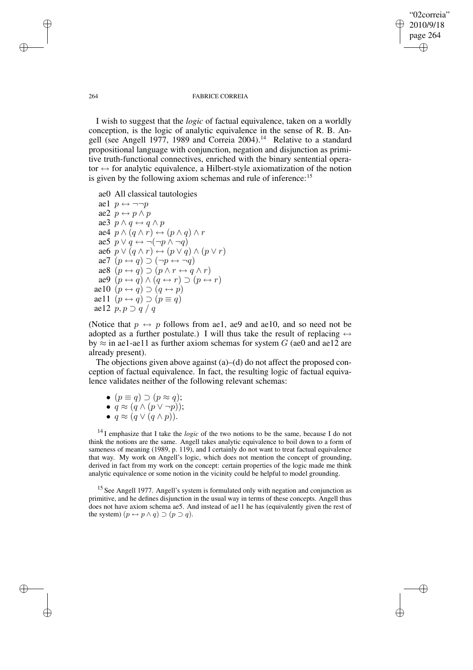# "02correia" 2010/9/18 page 264 ✐ ✐

✐

✐

### 264 FABRICE CORREIA

I wish to suggest that the *logic* of factual equivalence, taken on a worldly conception, is the logic of analytic equivalence in the sense of R. B. Angell (see Angell 1977, 1989 and Correia 2004).<sup>14</sup> Relative to a standard propositional language with conjunction, negation and disjunction as primitive truth-functional connectives, enriched with the binary sentential operator  $\leftrightarrow$  for analytic equivalence, a Hilbert-style axiomatization of the notion is given by the following axiom schemas and rule of inference:<sup>15</sup>

ae0 All classical tautologies ae1  $p \leftrightarrow \neg \neg p$ ae2  $p \leftrightarrow p \land p$ ae3  $p \wedge q \leftrightarrow q \wedge p$ ae4  $p \wedge (q \wedge r) \leftrightarrow (p \wedge q) \wedge r$ ae5  $p \lor q \leftrightarrow \neg(\neg p \land \neg q)$ ae6  $p \vee (q \wedge r) \leftrightarrow (p \vee q) \wedge (p \vee r)$ ae7  $(p \leftrightarrow q) \supset (\neg p \leftrightarrow \neg q)$ ae8  $(p \leftrightarrow q) \supset (p \land r \leftrightarrow q \land r)$ ae9  $(p \leftrightarrow q) \land (q \leftrightarrow r) \supset (p \leftrightarrow r)$ ae10  $(p \leftrightarrow q) \supset (q \leftrightarrow p)$ ae11  $(p \leftrightarrow q) \supset (p \equiv q)$ ae12  $p, p \supset q / q$ 

(Notice that  $p \leftrightarrow p$  follows from ae1, ae9 and ae10, and so need not be adopted as a further postulate.) I will thus take the result of replacing  $\leftrightarrow$ by  $\approx$  in ae1-ae11 as further axiom schemas for system G (ae0 and ae12 are already present).

The objections given above against (a)–(d) do not affect the proposed conception of factual equivalence. In fact, the resulting logic of factual equivalence validates neither of the following relevant schemas:

•  $(p \equiv q) \supset (p \approx q)$ ;

• 
$$
q \approx (q \wedge (p \vee \neg p))
$$
;

•  $q \approx (q \vee (q \wedge p)).$ 

<sup>14</sup> I emphasize that I take the *logic* of the two notions to be the same, because I do not think the notions are the same. Angell takes analytic equivalence to boil down to a form of sameness of meaning (1989, p. 119), and I certainly do not want to treat factual equivalence that way. My work on Angell's logic, which does not mention the concept of grounding, derived in fact from my work on the concept: certain properties of the logic made me think analytic equivalence or some notion in the vicinity could be helpful to model grounding.

<sup>15</sup> See Angell 1977. Angell's system is formulated only with negation and conjunction as primitive, and he defines disjunction in the usual way in terms of these concepts. Angell thus does not have axiom schema ae5. And instead of ae11 he has (equivalently given the rest of the system)  $(p \leftrightarrow p \land q) \supset (p \supset q)$ .

✐

✐

✐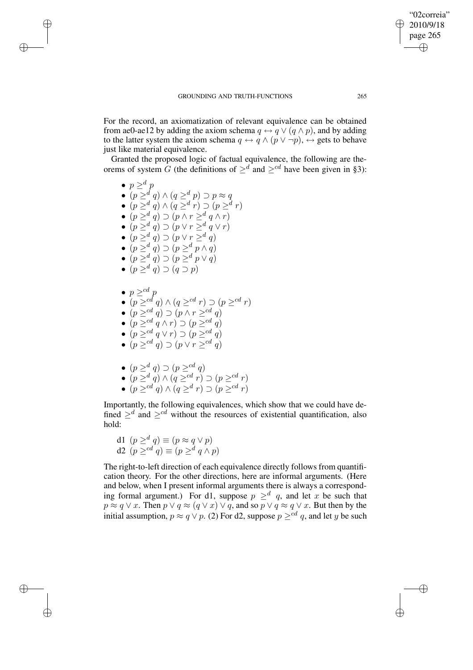page 265 ✐

✐

"02correia" 2010/9/18

✐

✐

For the record, an axiomatization of relevant equivalence can be obtained from ae0-ae12 by adding the axiom schema  $q \leftrightarrow q \vee (q \wedge p)$ , and by adding to the latter system the axiom schema  $q \leftrightarrow q \wedge (p \vee \neg p)$ ,  $\leftrightarrow$  gets to behave just like material equivalence.

Granted the proposed logic of factual equivalence, the following are theorems of system G (the definitions of  $\geq^d$  and  $\geq^{cd}$  have been given in §3):

•  $p \geq^d p$  $\bullet\ (p \geq^d q) \wedge (q \geq^d p) \supset p \approx q$ •  $(p \geq^d q) \wedge (q \geq^d r) \supset (p \geq^d r)$ •  $(p \geq^d q) \supset (p \wedge r \geq^d q \wedge r)$ •  $(p \geq^d q) \supset (p \vee r \geq^d q \vee r)$ •  $(p \geq^d q) \supset (p \vee r \geq^d q)$ •  $(p \geq^d q) \supset (p \geq^d p \wedge q)$ •  $(p \geq^d q) \supset (p \geq^d p \vee q)$ •  $(p \geq^d q) \supset (q \supset p)$  $\bullet\, p \geq^{cd} p$ •  $(p \geq ^{cd} q) \wedge (q \geq ^{cd} r) \supset (p \geq ^{cd} r)$ •  $(p \geq^{cd} q) \supset (p \wedge r \geq^{cd} q)$ •  $(p \geq^{cd} q \land r) \supset (p \geq^{cd} q)$ •  $(p \geq^{cd} q \vee r) \supset (p \geq^{cd} q)$ •  $(p \geq^{cd} q) \supset (p \vee r \geq^{cd} q)$ 

✐

✐

✐

✐

- $(p \geq^d q) \supset (p \geq^{cd} q)$
- $(p \geq^d q) \wedge (q \geq^{cd} r) \supset (p \geq^{cd} r)$
- $(p \geq ^{cd} q) \wedge (q \geq ^{d} r) \supset (p \geq ^{cd} r)$

Importantly, the following equivalences, which show that we could have defined  $\geq^d$  and  $\geq^{cd}$  without the resources of existential quantification, also hold:

d1  $(p \geq^d q) \equiv (p \approx q \vee p)$ d2  $(p \geq^{cd} q) \equiv (p \geq^d q \wedge p)$ 

The right-to-left direction of each equivalence directly follows from quantification theory. For the other directions, here are informal arguments. (Here and below, when I present informal arguments there is always a corresponding formal argument.) For d1, suppose  $p \geq q$ , and let x be such that  $p \approx q \vee x$ . Then  $p \vee q \approx (q \vee x) \vee q$ , and so  $p \vee q \approx q \vee x$ . But then by the initial assumption,  $p \approx q \vee p$ . (2) For d2, suppose  $p \geq^{cd} q$ , and let y be such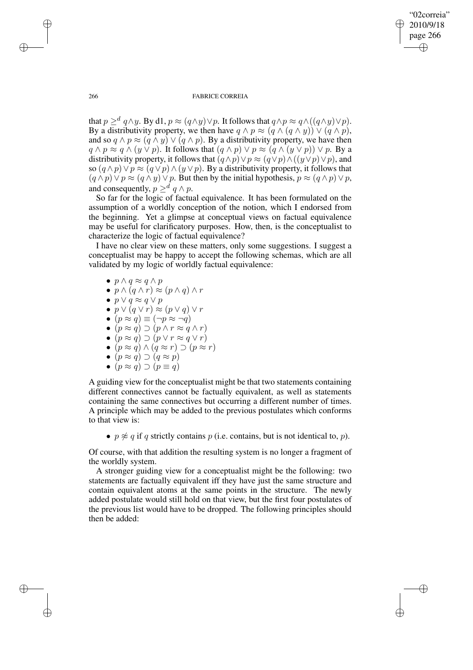"02correia" 2010/9/18 page 266 ✐ ✐

✐

✐

266 FABRICE CORREIA

that  $p \geq^d q \wedge y$ . By d1,  $p \approx (q \wedge y) \vee p$ . It follows that  $q \wedge p \approx q \wedge ((q \wedge y) \vee p)$ . By a distributivity property, we then have  $q \wedge p \approx (q \wedge (q \wedge q)) \vee (q \wedge p)$ , and so  $q \wedge p \approx (q \wedge q) \vee (q \wedge p)$ . By a distributivity property, we have then  $q \wedge p \approx q \wedge (y \vee p)$ . It follows that  $(q \wedge p) \vee p \approx (q \wedge (y \vee p)) \vee p$ . By a distributivity property, it follows that  $(q \wedge p) \vee p \approx (q \vee p) \wedge ((y \vee p) \vee p)$ , and so  $(q \wedge p) \vee p \approx (q \vee p) \wedge (y \vee p)$ . By a distributivity property, it follows that  $(q \wedge p) \vee p \approx (q \wedge y) \vee p$ . But then by the initial hypothesis,  $p \approx (q \wedge p) \vee p$ , and consequently,  $p \geq^d q \wedge p$ .

So far for the logic of factual equivalence. It has been formulated on the assumption of a worldly conception of the notion, which I endorsed from the beginning. Yet a glimpse at conceptual views on factual equivalence may be useful for clarificatory purposes. How, then, is the conceptualist to characterize the logic of factual equivalence?

I have no clear view on these matters, only some suggestions. I suggest a conceptualist may be happy to accept the following schemas, which are all validated by my logic of worldly factual equivalence:

- $p \wedge q \approx q \wedge p$
- $p \wedge (q \wedge r) \approx (p \wedge q) \wedge r$
- $p \vee q \approx q \vee p$
- $\bullet \, p \vee (q \vee r) \approx (p \vee q) \vee r$
- $(p \approx q) \equiv (\neg p \approx \neg q)$
- $(p \approx q) \supset (p \wedge r \approx q \wedge r)$
- $(p \approx q) \supset (p \vee r \approx q \vee r)$
- $(p \approx q) \wedge (q \approx r) \supset (p \approx r)$
- $(p \approx q) \supset (q \approx p)$ •  $(p \approx q) \supset (p \equiv q)$

A guiding view for the conceptualist might be that two statements containing different connectives cannot be factually equivalent, as well as statements containing the same connectives but occurring a different number of times. A principle which may be added to the previous postulates which conforms to that view is:

•  $p \not\approx q$  if q strictly contains p (i.e. contains, but is not identical to, p).

Of course, with that addition the resulting system is no longer a fragment of the worldly system.

A stronger guiding view for a conceptualist might be the following: two statements are factually equivalent iff they have just the same structure and contain equivalent atoms at the same points in the structure. The newly added postulate would still hold on that view, but the first four postulates of the previous list would have to be dropped. The following principles should then be added:

✐

✐

✐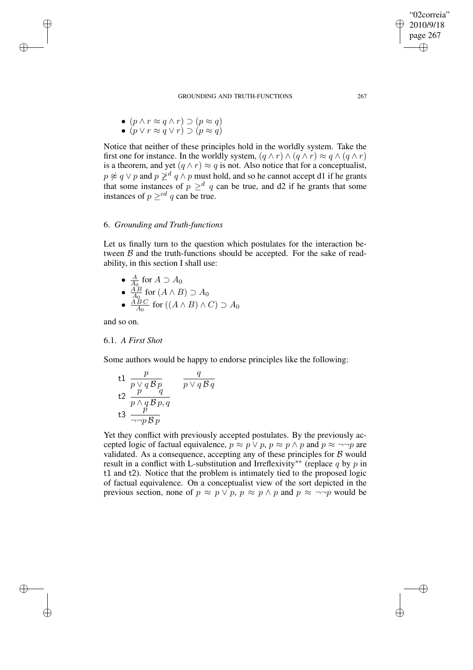• 
$$
(p \land r \approx q \land r) \supset (p \approx q)
$$

$$
\bullet \ (p \lor r \approx q \lor r) \supset (p \approx q)
$$

Notice that neither of these principles hold in the worldly system. Take the first one for instance. In the worldly system,  $(q \wedge r) \wedge (q \wedge r) \approx q \wedge (q \wedge r)$ is a theorem, and yet  $(q \wedge r) \approx q$  is not. Also notice that for a conceptualist,  $p \not\approx q \vee p$  and  $p \not\geq^d q \wedge p$  must hold, and so he cannot accept d1 if he grants that some instances of  $p \geq^d q$  can be true, and d2 if he grants that some instances of  $p \geq^{cd} q$  can be true.

# 6. *Grounding and Truth-functions*

Let us finally turn to the question which postulates for the interaction between  $\beta$  and the truth-functions should be accepted. For the sake of readability, in this section I shall use:

\n- $$
\frac{A}{A_0}
$$
 for  $A \supset A_0$
\n- $\frac{AB}{A_0}$  for  $(A \land B) \supset A_0$
\n- $\frac{ABC}{A_0}$  for  $((A \land B) \land C) \supset A_0$
\n

and so on.

✐

✐

✐

✐

## 6.1. *A First Shot*

Some authors would be happy to endorse principles like the following:

t1 
$$
\frac{p}{p \vee q B p}
$$
  $\frac{q}{p \vee q B q}$   
\nt2  $\frac{p}{p \wedge q B p, q}$   $p \vee q B q$   
\nt3  $\frac{p}{\neg \neg p B p}$ 

Yet they conflict with previously accepted postulates. By the previously accepted logic of factual equivalence,  $p \approx p \vee p$ ,  $p \approx p \wedge p$  and  $p \approx \neg \neg p$  are validated. As a consequence, accepting any of these principles for  $B$  would result in a conflict with L-substitution and Irreflexivity<sup>\*\*</sup> (replace q by p in t1 and t2). Notice that the problem is intimately tied to the proposed logic of factual equivalence. On a conceptualist view of the sort depicted in the previous section, none of  $p \approx p \vee p$ ,  $p \approx p \wedge p$  and  $p \approx \neg \neg p$  would be

"02correia" 2010/9/18 page 267

✐

✐

✐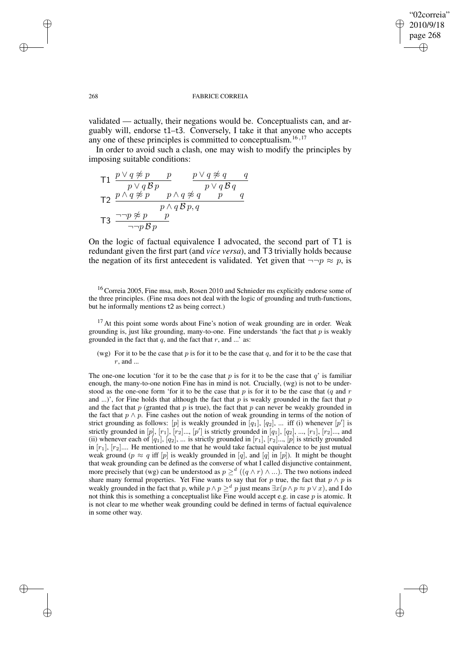✐

## 268 FABRICE CORREIA

validated — actually, their negations would be. Conceptualists can, and arguably will, endorse t1–t3. Conversely, I take it that anyone who accepts any one of these principles is committed to conceptualism.<sup>16,17</sup>

In order to avoid such a clash, one may wish to modify the principles by imposing suitable conditions:

T1 
$$
\frac{p \lor q \not\approx p \qquad p}{p \lor q \not\approx p \qquad p \lor q \not\approx q \qquad q}
$$
  
\nT2  $\frac{p \land q \not\approx p \qquad p \land q \not\approx q \qquad p \qquad q}{p \land q \not\approx p \qquad q}$   
\nT3  $\frac{\neg\neg p \not\approx p \qquad p}{\neg\neg p \not\approx p}$ 

On the logic of factual equivalence I advocated, the second part of T1 is redundant given the first part (and *vice versa*), and T3 trivially holds because the negation of its first antecedent is validated. Yet given that  $\neg\neg p \approx p$ , is

<sup>16</sup> Correia 2005, Fine msa, msb, Rosen 2010 and Schnieder ms explicitly endorse some of the three principles. (Fine msa does not deal with the logic of grounding and truth-functions, but he informally mentions t2 as being correct.)

<sup>17</sup> At this point some words about Fine's notion of weak grounding are in order. Weak grounding is, just like grounding, many-to-one. Fine understands 'the fact that  $p$  is weakly grounded in the fact that  $q$ , and the fact that  $r$ , and ...' as:

(wg) For it to be the case that  $p$  is for it to be the case that  $q$ , and for it to be the case that r, and ...

The one-one locution 'for it to be the case that p is for it to be the case that q' is familiar enough, the many-to-one notion Fine has in mind is not. Crucially, (wg) is not to be understood as the one-one form 'for it to be the case that  $p$  is for it to be the case that  $(q \text{ and } r)$ and ...)', for Fine holds that although the fact that p is weakly grounded in the fact that p and the fact that  $p$  (granted that  $p$  is true), the fact that  $p$  can never be weakly grounded in the fact that  $p \wedge p$ . Fine cashes out the notion of weak grounding in terms of the notion of strict grounding as follows: [p] is weakly grounded in [q<sub>1</sub>], [q<sub>2</sub>], ... iff (i) whenever [p'] is strictly grounded in  $[p]$ ,  $[r_1]$ ,  $[r_2]$ ...,  $[p']$  is strictly grounded in  $[q_1]$ ,  $[q_2]$ , ...,  $[r_1]$ ,  $[r_2]$ ..., and (ii) whenever each of  $[q_1]$ ,  $[q_2]$ , ... is strictly grounded in  $[r_1]$ ,  $[r_2]$ ...,  $[p]$  is strictly grounded in  $[r_1]$ ,  $[r_2]$ .... He mentioned to me that he would take factual equivalence to be just mutual weak ground ( $p \approx q$  iff [p] is weakly grounded in [q], and [q] in [p]). It might be thought that weak grounding can be defined as the converse of what I called disjunctive containment, more precisely that (wg) can be understood as  $p \geq^d ((q \wedge r) \wedge ...)$ . The two notions indeed share many formal properties. Yet Fine wants to say that for p true, the fact that  $p \wedge p$  is weakly grounded in the fact that p, while  $p \wedge p \geq^d p$  just means  $\exists x (p \wedge p \approx p \vee x)$ , and I do not think this is something a conceptualist like Fine would accept e.g. in case  $p$  is atomic. It is not clear to me whether weak grounding could be defined in terms of factual equivalence in some other way.

✐

✐

✐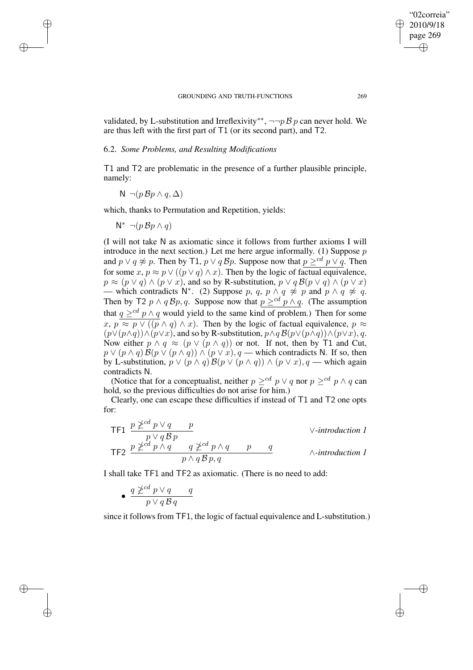✐

validated, by L-substitution and Irreflexivity<sup>\*\*</sup>, ¬¬p B p can never hold. We are thus left with the first part of T1 (or its second part), and T2.

## 6.2. *Some Problems, and Resulting Modifications*

T1 and T2 are problematic in the presence of a further plausible principle, namely:

$$
N \neg (p \,\mathcal{B} p \land q, \Delta)
$$

which, thanks to Permutation and Repetition, yields:

$$
\mathsf{N}^* \ \neg (p \,\mathcal{B} p \land q)
$$

✐

✐

✐

✐

(I will not take N as axiomatic since it follows from further axioms I will introduce in the next section.) Let me here argue informally. (1) Suppose  $p$ and  $p \lor q \not\approx p$ . Then by T1,  $p \lor q$   $\mathcal{B}p$ . Suppose now that  $p \geq^{cd} p \lor q$ . Then for some  $x, p \approx p \vee ((p \vee q) \wedge x)$ . Then by the logic of factual equivalence,  $p \approx (p \vee q) \wedge (p \vee x)$ , and so by R-substitution,  $p \vee q \mathcal{B}(p \vee q) \wedge (p \vee x)$  $\frac{p}{p}$  which contradicts N<sup>\*</sup>. (2) Suppose p, q, p ∧ q  $\neq p$  and p ∧ q  $\neq q$ . Then by T2  $p \wedge q$  Bp, q. Suppose now that  $p \geq^{cd} p \wedge q$ . (The assumption that  $q \geq^{cd} p \wedge q$  would yield to the same kind of problem.) Then for some  $x, p \approx p \vee (p \wedge q) \wedge x$ . Then by the logic of factual equivalence,  $p \approx$  $(p\vee (p\wedge q))\wedge (p\vee x)$ , and so by R-substitution,  $p\wedge q\mathcal{B}(p\vee (p\wedge q))\wedge (p\vee x)$ , q. Now either  $p \wedge q \approx (p \vee (p \wedge q))$  or not. If not, then by T1 and Cut,  $p \vee (p \wedge q) \mathcal{B}(p \vee (p \wedge q)) \wedge (p \vee x), q$  — which contradicts N. If so, then by L-substitution,  $p \vee (p \wedge q) \mathcal{B}(p \vee (p \wedge q)) \wedge (p \vee x), q$  — which again contradicts N.

(Notice that for a conceptualist, neither  $p \geq^{cd} p \vee q$  nor  $p \geq^{cd} p \wedge q$  can hold, so the previous difficulties do not arise for him.)

Clearly, one can escape these difficulties if instead of T1 and T2 one opts for:

TF1 
$$
\frac{p \not\geq^{cd} p \vee q \qquad p}{p \vee q \otimes p}
$$

\nY-introduction 1

\nTF2 
$$
\frac{p \not\geq^{cd} p \wedge q \qquad q \not\geq^{cd} p \wedge q \qquad p \qquad q}{p \wedge q \otimes p, q}
$$

\n^\therefore \text{introduction 1}

I shall take TF1 and TF2 as axiomatic. (There is no need to add:

$$
\bullet \ \frac{q \not \geq^{cd} p \vee q \qquad q}{p \vee q \mathcal{B} q}
$$

since it follows from TF1, the logic of factual equivalence and L-substitution.)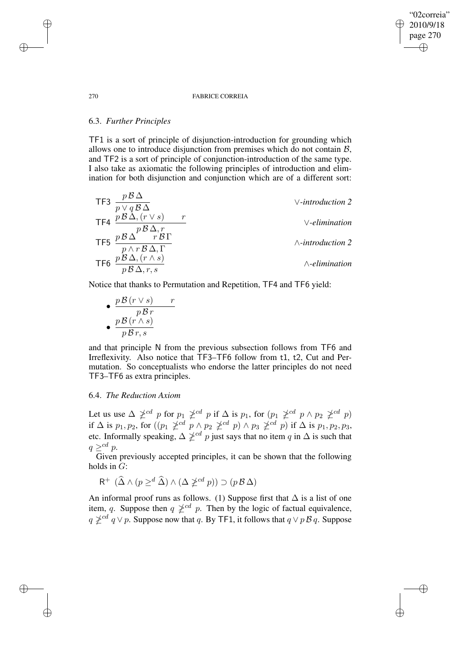## "02correia" 2010/9/18 page 270 ✐ ✐

✐

✐

### 270 FABRICE CORREIA

# 6.3. *Further Principles*

TF1 is a sort of principle of disjunction-introduction for grounding which allows one to introduce disjunction from premises which do not contain B, and TF2 is a sort of principle of conjunction-introduction of the same type. I also take as axiomatic the following principles of introduction and elimination for both disjunction and conjunction which are of a different sort:

| TF3 | $\frac{p\beta\Delta}{p\vee q\beta\Delta}$           | ~~\vee-introduction 2   |                    |
|-----|-----------------------------------------------------|-------------------------|--------------------|
| TF4 | $\frac{p\beta\Delta,(r\vee s)}{p\beta\Delta,r}$     | r                       | ~~\vee-elimination |
| TF5 | $\frac{p\beta\Delta}{p\wedge r\beta\Delta,\Gamma}$  | ~~\wedge-introduction 2 |                    |
| TF6 | $\frac{p\beta\Delta,(r\wedge s)}{p\beta\Delta,r,s}$ | ~~\wedge-elimination    |                    |

Notice that thanks to Permutation and Repetition, TF4 and TF6 yield:

 $\bullet$   $\frac{p\mathcal{B} (r \vee s)}{p}$ p B r  $\bullet \frac{p\mathcal{B} (r\wedge s)}{p}$  $p\,\mathcal{B}\,r,s$ 

and that principle N from the previous subsection follows from TF6 and Irreflexivity. Also notice that TF3–TF6 follow from t1, t2, Cut and Permutation. So conceptualists who endorse the latter principles do not need TF3–TF6 as extra principles.

## 6.4. *The Reduction Axiom*

Let us use  $\Delta \not\geq^{cd} p$  for  $p_1 \not\geq^{cd} p$  if  $\Delta$  is  $p_1$ , for  $(p_1 \not\geq^{cd} p \wedge p_2 \not\geq^{cd} p)$ if  $\Delta$  is  $p_1, p_2$ , for  $((p_1 \not\geq^{cd} p \land p_2 \not\geq^{cd} p) \land p_3 \not\geq^{cd} p)$  if  $\Delta$  is  $p_1, p_2, p_3$ , etc. Informally speaking,  $\Delta \not\geq^{cd} p$  just says that no item q in  $\Delta$  is such that  $q \geq^{cd} p$ .

Given previously accepted principles, it can be shown that the following holds in  $\tilde{G}$ :

 $R^+$   $(\widehat{\Delta} \wedge (p \geq^d \widehat{\Delta}) \wedge (\Delta \ngeq^{cd} p)) \supset (p \mathcal{B} \Delta)$ 

An informal proof runs as follows. (1) Suppose first that  $\Delta$  is a list of one item, q. Suppose then  $q \nleq^{cd} p$ . Then by the logic of factual equivalence,  $q \not\geq^{cd} q \vee p$ . Suppose now that q. By TF1, it follows that  $q \vee p \mathcal{B} q$ . Suppose

✐

✐

✐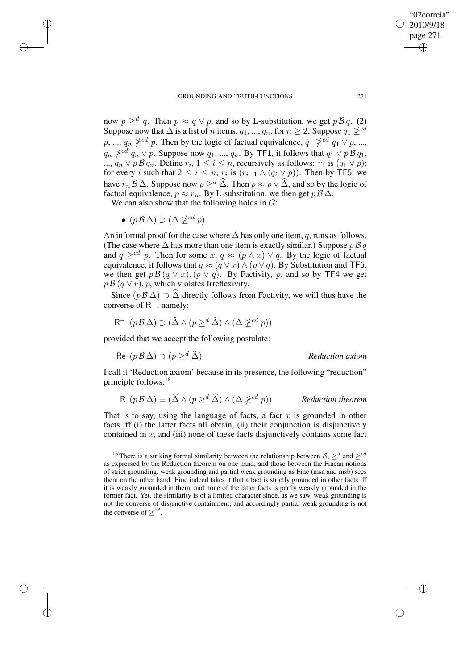now  $p \geq^d q$ . Then  $p \approx q \vee p$ , and so by L-substitution, we get  $p \mathcal{B} q$ . (2) Suppose now that  $\Delta$  is a list of n items,  $q_1, ..., q_n$ , for  $n \geq 2$ . Suppose  $q_1 \ngeq^{cd}$ p, ...,  $q_n \not\geq^{cd} p$ . Then by the logic of factual equivalence,  $q_1 \not\geq^{cd} q_1 \vee p$ , ...,  $q_n \not\geq^{cd} q_n \vee p$ . Suppose now  $q_1, ..., q_n$ . By TF1, it follows that  $q_1 \vee p \mathcal{B} q_1$ , ...,  $q_n \vee p \mathcal{B} q_n$ . Define  $r_i$ ,  $1 \leq i \leq n$ , recursively as follows:  $r_1$  is  $(q_1 \vee p)$ ; for every *i* such that  $2 \le i \le n$ ,  $r_i$  is  $(r_{i-1} \wedge (q_i \vee p))$ . Then by TF5, we have  $r_n \mathcal{B} \Delta$ . Suppose now  $p \geq d \widehat{\Delta}$ . Then  $p \approx p \vee \widehat{\Delta}$ , and so by the logic of factual equivalence,  $p \approx r_n$ . By L-substitution, we then get  $p \mathcal{B} \Delta$ .

We can also show that the following holds in  $G$ :

•  $(p \mathcal{B} \Delta) \supset (\Delta \ngeq^{cd} p)$ 

✐

✐

✐

✐

An informal proof for the case where  $\Delta$  has only one item, q, runs as follows. (The case where  $\Delta$  has more than one item is exactly similar.) Suppose p B q and  $q \geq^{cd} p$ . Then for some  $x, q \approx (p \wedge x) \vee q$ . By the logic of factual equivalence, it follows that  $q \approx (q \vee x) \wedge (p \vee q)$ . By Substitution and TF6, we then get  $p \mathcal{B} (q \vee x)$ ,  $(p \vee q)$ . By Factivity, p, and so by TF4 we get  $p \mathcal{B} (q \vee r)$ , p, which violates Irreflexivity.

Since  $(p \mathcal{B} \Delta) \supset \widehat{\Delta}$  directly follows from Factivity, we will thus have the converse of  $R^+$ , namely:

$$
R^{-} (p \mathcal{B} \Delta) \supset (\widehat{\Delta} \wedge (p \geq^d \widehat{\Delta}) \wedge (\Delta \npreceq^{cd} p))
$$

provided that we accept the following postulate:

Re 
$$
(p \mathcal{B} \Delta) \supset (p \geq^d \widehat{\Delta})
$$
 *Reduction axiom*

I call it 'Reduction axiom' because in its presence, the following "reduction" principle follows:<sup>18</sup>

$$
R (p \mathcal{B} \Delta) \equiv (\widehat{\Delta} \wedge (p \geq^d \widehat{\Delta}) \wedge (\Delta \ngeq^{cd} p))
$$
 *Reduction theorem*

That is to say, using the language of facts, a fact  $x$  is grounded in other facts iff (i) the latter facts all obtain, (ii) their conjunction is disjunctively contained in  $x$ , and (iii) none of these facts disjunctively contains some fact

<sup>18</sup> There is a striking formal similarity between the relationship between  $\mathcal{B}$ ,  $\geq d$  and  $\geq^{cd}$ as expressed by the Reduction theorem on one hand, and those between the Finean notions of strict grounding, weak grounding and partial weak grounding as Fine (msa and msb) sees them on the other hand. Fine indeed takes it that a fact is strictly grounded in other facts iff it is weakly grounded in them, and none of the latter facts is partly weakly grounded in the former fact. Yet, the similarity is of a limited character since, as we saw, weak grounding is not the converse of disjunctive containment, and accordingly partial weak grounding is not the converse of  $\geq^{cd}$ .

"02correia" 2010/9/18 page 271

✐

✐

✐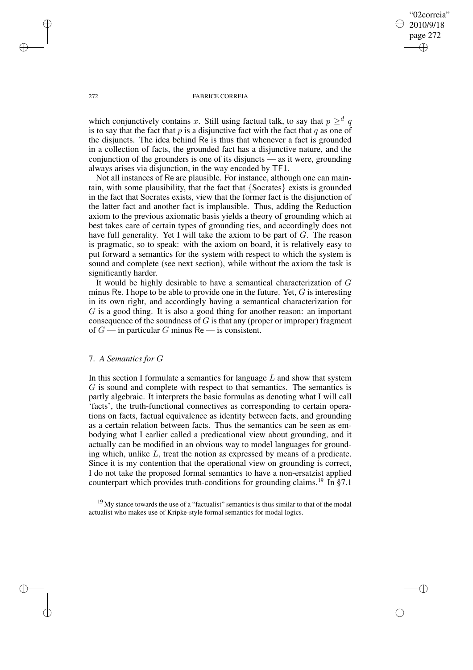"02correia" 2010/9/18 page 272 ✐ ✐

✐

✐

### 272 FABRICE CORREIA

which conjunctively contains x. Still using factual talk, to say that  $p \geq^d q$ is to say that the fact that  $p$  is a disjunctive fact with the fact that  $q$  as one of the disjuncts. The idea behind Re is thus that whenever a fact is grounded in a collection of facts, the grounded fact has a disjunctive nature, and the conjunction of the grounders is one of its disjuncts — as it were, grounding always arises via disjunction, in the way encoded by TF1.

Not all instances of Re are plausible. For instance, although one can maintain, with some plausibility, that the fact that {Socrates} exists is grounded in the fact that Socrates exists, view that the former fact is the disjunction of the latter fact and another fact is implausible. Thus, adding the Reduction axiom to the previous axiomatic basis yields a theory of grounding which at best takes care of certain types of grounding ties, and accordingly does not have full generality. Yet I will take the axiom to be part of G. The reason is pragmatic, so to speak: with the axiom on board, it is relatively easy to put forward a semantics for the system with respect to which the system is sound and complete (see next section), while without the axiom the task is significantly harder.

It would be highly desirable to have a semantical characterization of G minus Re. I hope to be able to provide one in the future. Yet,  $G$  is interesting in its own right, and accordingly having a semantical characterization for G is a good thing. It is also a good thing for another reason: an important consequence of the soundness of  $G$  is that any (proper or improper) fragment of  $G$  — in particular G minus Re — is consistent.

## 7. *A Semantics for* G

In this section I formulate a semantics for language  $L$  and show that system G is sound and complete with respect to that semantics. The semantics is partly algebraic. It interprets the basic formulas as denoting what I will call 'facts', the truth-functional connectives as corresponding to certain operations on facts, factual equivalence as identity between facts, and grounding as a certain relation between facts. Thus the semantics can be seen as embodying what I earlier called a predicational view about grounding, and it actually can be modified in an obvious way to model languages for grounding which, unlike L, treat the notion as expressed by means of a predicate. Since it is my contention that the operational view on grounding is correct, I do not take the proposed formal semantics to have a non-ersatzist applied counterpart which provides truth-conditions for grounding claims.<sup>19</sup> In §7.1

 $19$  My stance towards the use of a "factualist" semantics is thus similar to that of the modal actualist who makes use of Kripke-style formal semantics for modal logics.

✐

✐

✐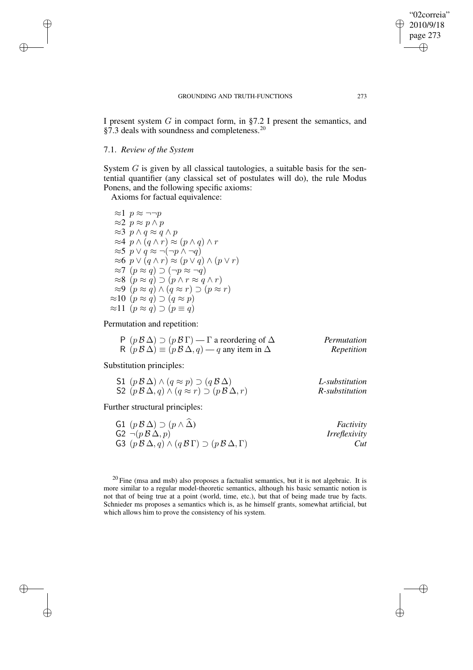I present system G in compact form, in §7.2 I present the semantics, and §7.3 deals with soundness and completeness.<sup>20</sup>

# 7.1. *Review of the System*

✐

✐

✐

✐

System  $G$  is given by all classical tautologies, a suitable basis for the sentential quantifier (any classical set of postulates will do), the rule Modus Ponens, and the following specific axioms:

Axioms for factual equivalence:

 $\approx$ 1 p  $\approx$  ¬¬p  $≈2$   $p ≈ p ∧ p$  $\approx$ 3 p ∧ q  $\approx$  q ∧ p ≈4  $p \wedge (q \wedge r) \approx (p \wedge q) \wedge r$  $\approx$ 5  $p \vee q \approx \neg(\neg p \wedge \neg q)$  $\approx 6 \, p \vee (q \wedge r) \approx (p \vee q) \wedge (p \vee r)$  $\approx$ 7  $(p \approx q) \supset (\neg p \approx \neg q)$  $\approx 8$   $(p \approx q) \supset (p \wedge r \approx q \wedge r)$ ≈9  $(p \approx q) \wedge (q \approx r) \supset (p \approx r)$  $\approx 10 \left( \rho \approx \tilde{q} \right) \supset \left( \tilde{q} \approx \rho \right)$  $\approx 11 \ (p \approx q) \supset (p \equiv q)$ 

Permutation and repetition:

| $P(pB\Delta) \supset (pB\Gamma)$ - $\Gamma$ a reordering of $\Delta$                 | Permutation |
|--------------------------------------------------------------------------------------|-------------|
| R $(p \mathcal{B} \Delta) \equiv (p \mathcal{B} \Delta, q) - q$ any item in $\Delta$ | Repetition  |

Substitution principles:

| S1 $(p \mathcal{B} \Delta) \wedge (q \approx p) \supset (q \mathcal{B} \Delta)$       | L-substitution |
|---------------------------------------------------------------------------------------|----------------|
| S2 $(p \mathcal{B} \Delta, q) \wedge (q \approx r) \supset (p \mathcal{B} \Delta, r)$ | R-substitution |

Further structural principles:

| G1 $(p \mathcal{B} \Delta) \supset (p \wedge \Delta)$                                               | Factivity            |
|-----------------------------------------------------------------------------------------------------|----------------------|
| $G2 \neg (p \mathcal{B} \Delta, p)$                                                                 | <i>Irreflexivity</i> |
| G3 $(p \mathcal{B} \Delta, q) \wedge (q \mathcal{B} \Gamma) \supset (p \mathcal{B} \Delta, \Gamma)$ | Cut                  |

 $20$  Fine (msa and msb) also proposes a factualist semantics, but it is not algebraic. It is more similar to a regular model-theoretic semantics, although his basic semantic notion is not that of being true at a point (world, time, etc.), but that of being made true by facts. Schnieder ms proposes a semantics which is, as he himself grants, somewhat artificial, but which allows him to prove the consistency of his system.

"02correia" 2010/9/18 page 273

✐

✐

✐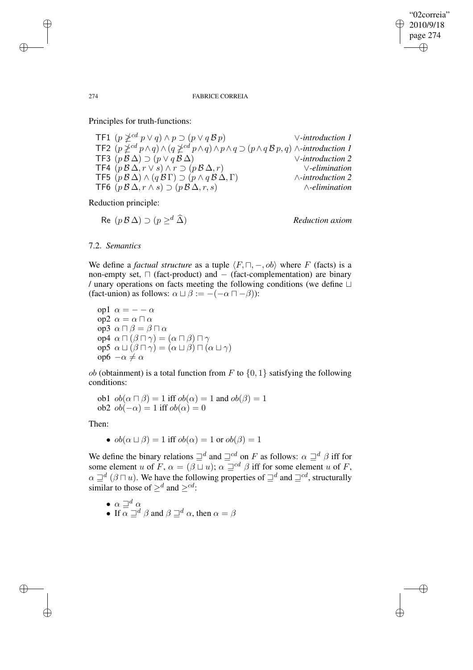✐

### 274 FABRICE CORREIA

Principles for truth-functions:

TF1 (p cd p ∨ q) ∧ p ⊃ (p ∨ q B p) ∨*-introduction 1* TF2  $(p \nleq d p \wedge q) \wedge (q \nleq d p \wedge q) \wedge p \wedge q \supset (p \wedge q \wedge q) \wedge \neg$ *introduction* 1 TF3 (p B ∆) ⊃ (p ∨ q B ∆) ∨*-introduction 2* TF4 (p B ∆, r ∨ s) ∧ r ⊃ (p B ∆, r) ∨*-elimination* TF5  $(p \mathcal{B} \Delta) \wedge (q \mathcal{B} \Gamma) \supset (p \wedge q \mathcal{B} \Delta, \Gamma)$   $\wedge$ *-introduction* 2 TF6 (p B ∆, r ∧ s) ⊃ (p B ∆, r, s) ∧*-elimination*

Reduction principle:

$$
Re (p B \Delta) \supset (p \geq^d \Delta)
$$
 *Reduction axiom*

## 7.2. *Semantics*

We define a *factual structure* as a tuple  $\langle F, \sqcap, -, ob \rangle$  where F (facts) is a non-empty set,  $\Box$  (fact-product) and  $-$  (fact-complementation) are binary / unary operations on facts meeting the following conditions (we define  $\sqcup$ (fact-union) as follows:  $\alpha \sqcup \beta := -(-\alpha \sqcap -\beta)$ ):

op1  $\alpha = -\alpha$ op2  $\alpha = \alpha \sqcap \alpha$ op3  $\alpha \sqcap \beta = \beta \sqcap \alpha$ op4  $\alpha \sqcap (\beta \sqcap \gamma) = (\alpha \sqcap \beta) \sqcap \gamma$ op5  $\alpha$  ⊔ ( $\beta$  Π  $\gamma$ ) = ( $\alpha$  ⊔  $\beta$ ) Π ( $\alpha$  ⊔  $\gamma$ ) op6  $-α ≠ α$ 

*ob* (obtainment) is a total function from F to  $\{0, 1\}$  satisfying the following conditions:

ob1  $ob(\alpha \sqcap \beta) = 1$  iff  $ob(\alpha) = 1$  and  $ob(\beta) = 1$ ob2  $ob(-\alpha) = 1$  iff  $ob(\alpha) = 0$ 

Then:

✐

✐

• 
$$
ob(\alpha \sqcup \beta) = 1
$$
 iff  $ob(\alpha) = 1$  or  $ob(\beta) = 1$ 

We define the binary relations  $\sqsupseteq^d$  and  $\sqsupseteq^{cd}$  on F as follows:  $\alpha \sqsupseteq^d \beta$  iff for some element u of F,  $\alpha = (\beta \sqcup u); \alpha \sqsupseteq^{cd} \beta$  iff for some element u of F,  $\alpha \sqsupseteq^d (\beta \sqcap u)$ . We have the following properties of  $\sqsupseteq^d$  and  $\sqsupseteq^{cd}$ , structurally similar to those of  $\geq^d$  and  $\geq^{cd}$ :

- $\bullet\ \alpha \sqsupseteq^d \alpha$
- If  $\alpha \sqsupseteq^d \beta$  and  $\beta \sqsupseteq^d \alpha$ , then  $\alpha = \beta$

✐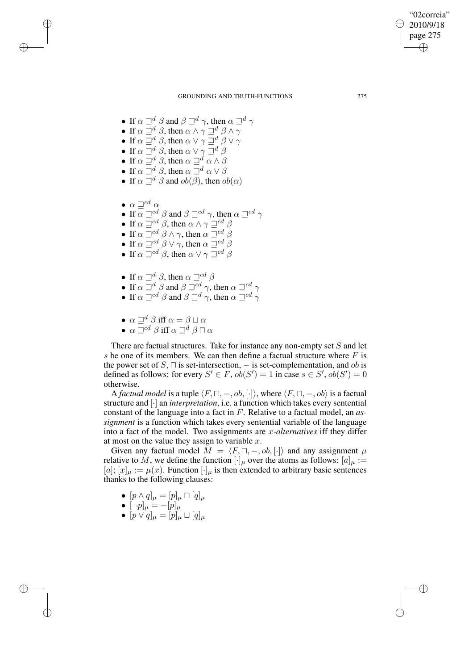✐

### GROUNDING AND TRUTH-FUNCTIONS 275

- If  $\alpha \sqsupseteq^d \beta$  and  $\beta \sqsupseteq^d \gamma$ , then  $\alpha \sqsupseteq^d \gamma$
- If  $\alpha \sqsupseteq^d \beta$ , then  $\alpha \wedge \gamma \sqsupseteq^d \beta \wedge \gamma$
- If  $\alpha \sqsupseteq^d \beta$ , then  $\alpha \vee \gamma \sqsupseteq^d \beta \vee \gamma$
- If  $\alpha \sqsupseteq^d \beta$ , then  $\alpha \vee \gamma \sqsupseteq^d \beta$
- If  $\alpha \sqsupseteq^d \beta$ , then  $\alpha \sqsupseteq^d \alpha \wedge \beta$
- If  $\alpha \sqsupseteq^d \beta$ , then  $\alpha \sqsupseteq^d \alpha \vee \beta$
- If  $\alpha \sqsupseteq^d \beta$  and  $ob(\beta)$ , then  $ob(\alpha)$
- $\alpha \sqsupseteq^{cd} \alpha$

✐

✐

✐

✐

- If  $\alpha \sqsupseteq^{cd} \beta$  and  $\beta \sqsupseteq^{cd} \gamma$ , then  $\alpha \sqsupseteq^{cd} \gamma$
- If  $\alpha \equiv cd \beta$ , then  $\alpha \wedge \gamma \equiv cd \beta$
- If  $\alpha \sqsupseteq^{cd} \beta \wedge \gamma$ , then  $\alpha \sqsupseteq^{cd} \beta$
- If  $\alpha \sqsupseteq^{cd} \beta \vee \gamma$ , then  $\alpha \sqsupseteq^{cd} \beta$
- If  $\alpha \sqsupseteq^{cd} \beta$ , then  $\alpha \vee \gamma \sqsupseteq^{cd} \beta$
- If  $\alpha \sqsupseteq^d \beta$ , then  $\alpha \sqsupseteq^{cd} \beta$
- If  $\alpha \sqsupseteq^d \beta$  and  $\beta \sqsupseteq^{cd} \gamma$ , then  $\alpha \sqsupseteq^{cd} \gamma$
- If  $\alpha \sqsupseteq^{cd} \beta$  and  $\beta \sqsupseteq^{d} \gamma$ , then  $\alpha \sqsupseteq^{cd} \gamma$
- $\alpha \sqsupseteq^d \beta$  iff  $\alpha = \beta \sqcup \alpha$
- $\alpha \sqsupseteq^{cd} \beta$  iff  $\alpha \sqsupseteq^{d} \beta \sqcap \alpha$

There are factual structures. Take for instance any non-empty set S and let s be one of its members. We can then define a factual structure where  $F$  is the power set of  $S$ ,  $\Box$  is set-intersection,  $-$  is set-complementation, and ob is defined as follows: for every  $S' \in F$ ,  $ob(S') = 1$  in case  $s \in S'$ ,  $ob(S') = 0$ otherwise.

A *factual model* is a tuple  $\langle F, \sqcap, -, ob, [\cdot] \rangle$ , where  $\langle F, \sqcap, -, ob \rangle$  is a factual structure and [·] an *interpretation*, i.e. a function which takes every sentential constant of the language into a fact in F. Relative to a factual model, an *assignment* is a function which takes every sentential variable of the language into a fact of the model. Two assignments are x*-alternatives* iff they differ at most on the value they assign to variable  $x$ .

Given any factual model  $\widetilde{M} = \langle F, \sqcap, -, ob, [\cdot] \rangle$  and any assignment  $\mu$ relative to M, we define the function  $[\cdot]_{\mu}$  over the atoms as follows:  $[a]_{\mu} :=$ [a];  $[x]_{\mu} := \mu(x)$ . Function  $[\cdot]_{\mu}$  is then extended to arbitrary basic sentences thanks to the following clauses:

- $\bullet \ \ [p\wedge q]_{\mu}=[p]_{\mu}\sqcap[q]_{\mu}$
- $\bullet \,\, [\neg p]_\mu = -[p]_\mu$
- $\bullet \ \ [p \vee q]_{\mu} = [p]_{\mu} \sqcup [q]_{\mu}$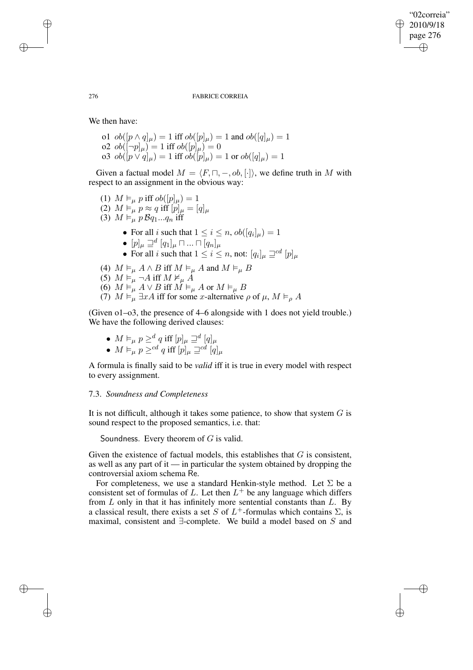✐

276 FABRICE CORREIA

We then have:

o1  $ob([p \wedge q]_{\mu}) = 1$  iff  $ob([p]_{\mu}) = 1$  and  $ob([q]_{\mu}) = 1$ o2  $ob([¬p]<sub>μ</sub>) = 1$  iff  $ob([p]<sub>μ</sub>) = 0$ o3  $ob([p \vee q]_{\mu}) = 1$  iff  $ob([p]_{\mu}) = 1$  or  $ob([q]_{\mu}) = 1$ 

Given a factual model  $M = \langle F, \sqcap, -, ob, [\cdot] \rangle$ , we define truth in M with respect to an assignment in the obvious way:

- (1)  $M \vDash_{\mu} p \text{ iff } ob([p]_{\mu}) = 1$ (2)  $M \vDash_{\mu} P \approx q \text{ iff } [p]_{\mu} = [q]_{\mu}$ (3)  $M \vDash_{\mu}^{\mu} p \mathcal{B}q_1...q_n$  iff • For all *i* such that  $1 \leq i \leq n$ ,  $ob([q_i]_\mu) = 1$  $\bullet \ [p]_{\mu} \sqsupseteq^d [q_1]_{\mu} \sqcap ... \sqcap [q_n]_{\mu}$ • For all *i* such that  $1 \leq i \leq n$ , not:  $[q_i]_\mu \sqsupseteq^{cd} [p]_\mu$ (4)  $M \vDash_{\mu} A \wedge B$  iff  $M \vDash_{\mu} A$  and  $M \vDash_{\mu} B$ (5)  $M \vDash_{\mu} \neg A$  iff  $M \nvDash_{\mu} A$ (6)  $M \vDash_{\mu} A \vee B$  iff  $M \vDash_{\mu} A$  or  $M \vDash_{\mu} B$
- (7)  $M \vDash_{\mu} \exists x A$  iff for some x-alternative  $\rho$  of  $\mu$ ,  $M \vDash_{\rho} A$

(Given o1–o3, the presence of 4–6 alongside with 1 does not yield trouble.) We have the following derived clauses:

- $M \vDash_{\mu} p \geq^d q$  iff  $[p]_{\mu} \sqsupseteq^d [q]_{\mu}$
- $M \vDash_{\mu} p \geq^{cd} q$  iff  $[p]_{\mu} \sqsupseteq^{cd} [q]_{\mu}$

A formula is finally said to be *valid* iff it is true in every model with respect to every assignment.

## 7.3. *Soundness and Completeness*

It is not difficult, although it takes some patience, to show that system  $G$  is sound respect to the proposed semantics, i.e. that:

Soundness. Every theorem of  $G$  is valid.

Given the existence of factual models, this establishes that  $G$  is consistent, as well as any part of it — in particular the system obtained by dropping the controversial axiom schema Re.

For completeness, we use a standard Henkin-style method. Let  $\Sigma$  be a consistent set of formulas of L. Let then  $L^+$  be any language which differs from  $L$  only in that it has infinitely more sentential constants than  $L$ . By a classical result, there exists a set S of  $L^+$ -formulas which contains  $\Sigma$ , is maximal, consistent and ∃-complete. We build a model based on S and

✐

✐

✐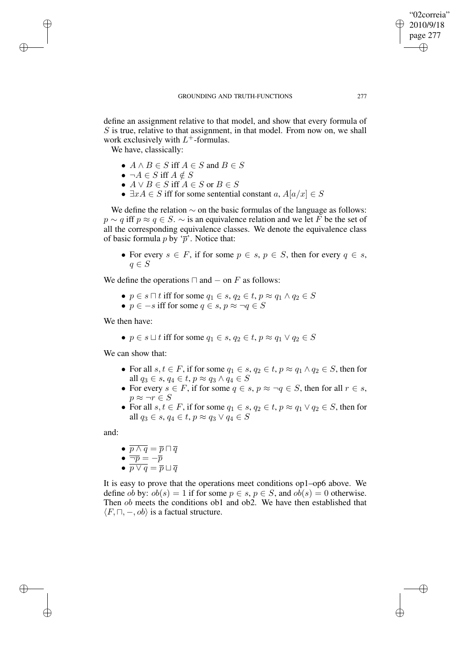define an assignment relative to that model, and show that every formula of  $S$  is true, relative to that assignment, in that model. From now on, we shall work exclusively with  $L^+$ -formulas.

We have, classically:

✐

✐

✐

✐

- $A \wedge B \in S$  iff  $A \in S$  and  $B \in S$
- $\neg A \in S$  iff  $A \notin S$
- $A \vee B \in S$  iff  $A \in S$  or  $B \in S$
- $\exists x A \in S$  iff for some sentential constant  $a, A[a/x] \in S$

We define the relation  $\sim$  on the basic formulas of the language as follows:  $p \sim q$  iff  $p \approx q \in S$ .  $\sim$  is an equivalence relation and we let F be the set of all the corresponding equivalence classes. We denote the equivalence class of basic formula  $p$  by ' $\overline{p}$ '. Notice that:

• For every  $s \in F$ , if for some  $p \in s$ ,  $p \in S$ , then for every  $q \in s$ ,  $q \in S$ 

We define the operations  $\Box$  and  $-$  on F as follows:

- $p \in s \sqcap t$  iff for some  $q_1 \in s$ ,  $q_2 \in t$ ,  $p \approx q_1 \land q_2 \in S$
- $p \in -s$  iff for some  $q \in s$ ,  $p \approx \neg q \in S$

We then have:

•  $p \in s \sqcup t$  iff for some  $q_1 \in s, q_2 \in t, p \approx q_1 \vee q_2 \in S$ 

We can show that:

- For all  $s, t \in F$ , if for some  $q_1 \in s, q_2 \in t, p \approx q_1 \wedge q_2 \in S$ , then for all  $q_3 \in s$ ,  $q_4 \in t$ ,  $p \approx q_3 \wedge q_4 \in S$
- For every  $s \in F$ , if for some  $q \in s$ ,  $p \approx \neg q \in S$ , then for all  $r \in s$ ,  $p \approx \neg r \in S$
- For all  $s, t \in F$ , if for some  $q_1 \in s, q_2 \in t, p \approx q_1 \vee q_2 \in S$ , then for all  $q_3 \in s$ ,  $q_4 \in t$ ,  $p \approx q_3 \vee q_4 \in S$

and:

- $\bullet~~ \overline{p\wedge q} = \overline{p} \sqcap \overline{q}$
- $\bullet$   $\overline{\neg p} = -\overline{p}$
- $\bullet~~ \overline{p\vee q} = \overline{p} \sqcup \overline{q}$

It is easy to prove that the operations meet conditions op1–op6 above. We define ob by:  $ob(s) = 1$  if for some  $p \in s$ ,  $p \in S$ , and  $ob(s) = 0$  otherwise. Then ob meets the conditions ob1 and ob2. We have then established that  $\langle F, \sqcap, -, ob \rangle$  is a factual structure.

"02correia" 2010/9/18 page 277

✐

✐

✐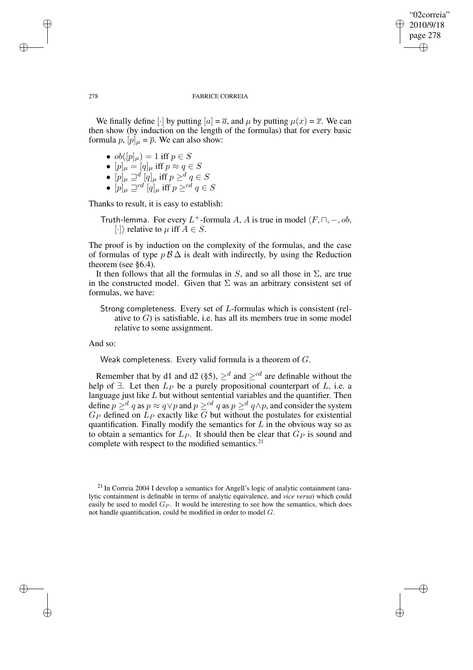✐

## 278 FABRICE CORREIA

We finally define  $\lceil \cdot \rceil$  by putting  $\lceil a \rceil = \overline{a}$ , and  $\mu$  by putting  $\mu(x) = \overline{x}$ . We can then show (by induction on the length of the formulas) that for every basic formula p,  $[p]_{\mu} = \overline{p}$ . We can also show:

- $\bullet \; ob([p]_\mu) = 1 \text{ iff } p \in S$
- $\bullet~~ [p]_{\mu}=[q]_{\mu}~\text{iff}~p\approx q\in S$
- $\bullet \ [p]_\mu \sqsupseteq^d [q]_\mu$  iff  $p \geq^d q \in S$
- $\bullet~~ [p]_{\mu}\sqsupseteq^{cd} [q]_{\mu}$  iff  $p\geq^{cd} q\in S$

Thanks to result, it is easy to establish:

Truth-lemma. For every L<sup>+</sup>-formula A, A is true in model  $\langle F, \sqcap, -, ob, \rangle$  $[\cdot]$  relative to  $\mu$  iff  $A \in S$ .

The proof is by induction on the complexity of the formulas, and the case of formulas of type  $p\mathcal{B}\Delta$  is dealt with indirectly, by using the Reduction theorem (see §6.4).

It then follows that all the formulas in S, and so all those in  $\Sigma$ , are true in the constructed model. Given that  $\Sigma$  was an arbitrary consistent set of formulas, we have:

Strong completeness. Every set of L-formulas which is consistent (relative to  $G$ ) is satisfiable, i.e. has all its members true in some model relative to some assignment.

And so:

Weak completeness. Every valid formula is a theorem of G.

Remember that by d1 and d2 (§5),  $\geq^d$  and  $\geq^{cd}$  are definable without the help of  $\exists$ . Let then  $L_P$  be a purely propositional counterpart of  $L$ , i.e. a language just like  $L$  but without sentential variables and the quantifier. Then define  $p \geq^d q$  as  $p \approx q \vee p$  and  $p \geq^{cd} q$  as  $p \geq^d q \wedge p$ , and consider the system  $G_P$  defined on  $L_P$  exactly like G but without the postulates for existential quantification. Finally modify the semantics for  $L$  in the obvious way so as to obtain a semantics for  $L_P$ . It should then be clear that  $G_P$  is sound and complete with respect to the modified semantics.<sup>21</sup>

✐

✐

✐

 $^{21}$  In Correia 2004 I develop a semantics for Angell's logic of analytic containment (analytic containment is definable in terms of analytic equivalence, and *vice versa*) which could easily be used to model  $G_P$ . It would be interesting to see how the semantics, which does not handle quantification, could be modified in order to model  $G$ .